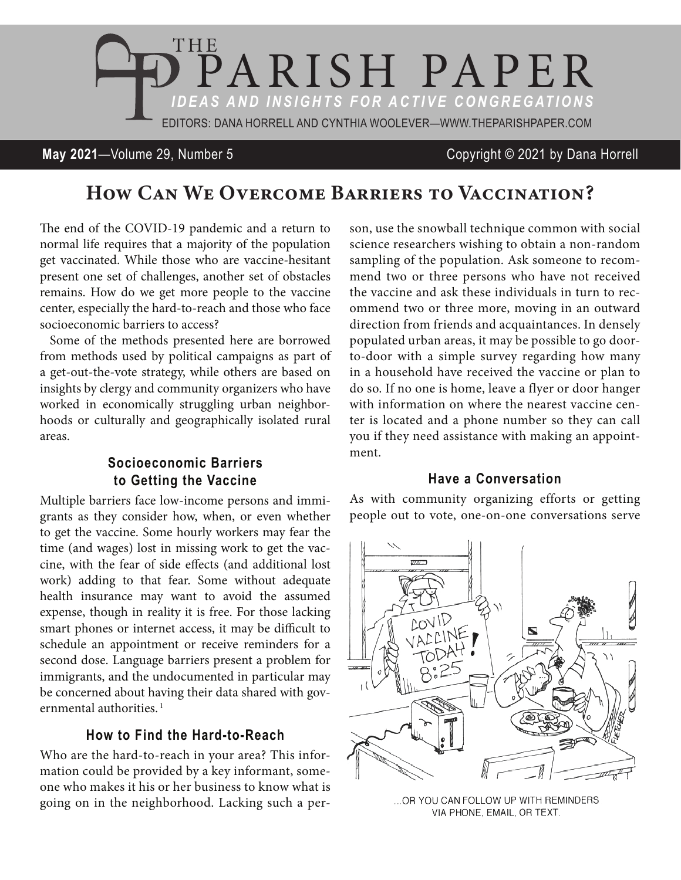

#### **May 2021**—Volume 29, Number 5 Copyright © 2021 by Dana Horrell

# How Can We Overcome Barriers to Vaccination?

The end of the COVID-19 pandemic and a return to normal life requires that a majority of the population get vaccinated. While those who are vaccine-hesitant present one set of challenges, another set of obstacles remains. How do we get more people to the vaccine center, especially the hard-to-reach and those who face socioeconomic barriers to access?

Some of the methods presented here are borrowed from methods used by political campaigns as part of a get-out-the-vote strategy, while others are based on insights by clergy and community organizers who have worked in economically struggling urban neighborhoods or culturally and geographically isolated rural areas.

#### **Socioeconomic Barriers to Getting the Vaccine**

Multiple barriers face low-income persons and immigrants as they consider how, when, or even whether to get the vaccine. Some hourly workers may fear the time (and wages) lost in missing work to get the vaccine, with the fear of side effects (and additional lost work) adding to that fear. Some without adequate health insurance may want to avoid the assumed expense, though in reality it is free. For those lacking smart phones or internet access, it may be difficult to schedule an appointment or receive reminders for a second dose. Language barriers present a problem for immigrants, and the undocumented in particular may be concerned about having their data shared with governmental authorities.<sup>1</sup>

## **How to Find the Hard-to-Reach**

Who are the hard-to-reach in your area? This information could be provided by a key informant, someone who makes it his or her business to know what is going on in the neighborhood. Lacking such a person, use the snowball technique common with social science researchers wishing to obtain a non-random sampling of the population. Ask someone to recommend two or three persons who have not received the vaccine and ask these individuals in turn to recommend two or three more, moving in an outward direction from friends and acquaintances. In densely populated urban areas, it may be possible to go doorto-door with a simple survey regarding how many in a household have received the vaccine or plan to do so. If no one is home, leave a flyer or door hanger with information on where the nearest vaccine center is located and a phone number so they can call you if they need assistance with making an appointment.

#### **Have a Conversation**

As with community organizing efforts or getting people out to vote, one-on-one conversations serve



... OR YOU CAN FOLLOW UP WITH REMINDERS VIA PHONE, EMAIL, OR TEXT.